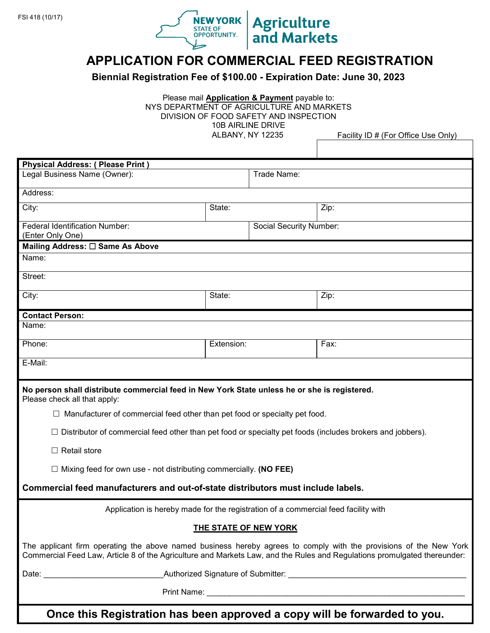

# **APPLICATION FOR COMMERCIAL FEED REGISTRATION**

**Agriculture**<br>and Markets

**Biennial Registration Fee of \$100.00 - Expiration Date: June 30, 2023**

Please mail **Application & Payment** payable to: NYS DEPARTMENT OF AGRICULTURE AND MARKETS DIVISION OF FOOD SAFETY AND INSPECTION 10B AIRLINE DRIVE

ALBANY, NY 12235 Facility ID # (For Office Use Only)

| <b>Physical Address: ( Please Print )</b><br>Legal Business Name (Owner):                                                                                                                                                                     | Trade Name: |                         |      |  |
|-----------------------------------------------------------------------------------------------------------------------------------------------------------------------------------------------------------------------------------------------|-------------|-------------------------|------|--|
|                                                                                                                                                                                                                                               |             |                         |      |  |
| Address:                                                                                                                                                                                                                                      |             |                         |      |  |
| City:                                                                                                                                                                                                                                         | State:      |                         | Zip: |  |
| Federal Identification Number:                                                                                                                                                                                                                |             | Social Security Number: |      |  |
| (Enter Only One)                                                                                                                                                                                                                              |             |                         |      |  |
| Mailing Address: □ Same As Above                                                                                                                                                                                                              |             |                         |      |  |
| Name:                                                                                                                                                                                                                                         |             |                         |      |  |
| Street:                                                                                                                                                                                                                                       |             |                         |      |  |
| City:                                                                                                                                                                                                                                         | State:      |                         | Zip: |  |
| <b>Contact Person:</b>                                                                                                                                                                                                                        |             |                         |      |  |
| Name:                                                                                                                                                                                                                                         |             |                         |      |  |
| Phone:                                                                                                                                                                                                                                        | Extension:  |                         | Fax: |  |
| E-Mail:                                                                                                                                                                                                                                       |             |                         |      |  |
|                                                                                                                                                                                                                                               |             |                         |      |  |
| No person shall distribute commercial feed in New York State unless he or she is registered.<br>Please check all that apply:                                                                                                                  |             |                         |      |  |
| $\Box$ Manufacturer of commercial feed other than pet food or specialty pet food.                                                                                                                                                             |             |                         |      |  |
| Distributor of commercial feed other than pet food or specialty pet foods (includes brokers and jobbers).                                                                                                                                     |             |                         |      |  |
| $\Box$ Retail store                                                                                                                                                                                                                           |             |                         |      |  |
| $\Box$ Mixing feed for own use - not distributing commercially. (NO FEE)                                                                                                                                                                      |             |                         |      |  |
| Commercial feed manufacturers and out-of-state distributors must include labels.                                                                                                                                                              |             |                         |      |  |
| Application is hereby made for the registration of a commercial feed facility with                                                                                                                                                            |             |                         |      |  |
| THE STATE OF NEW YORK                                                                                                                                                                                                                         |             |                         |      |  |
| The applicant firm operating the above named business hereby agrees to comply with the provisions of the New York<br>Commercial Feed Law, Article 8 of the Agriculture and Markets Law, and the Rules and Regulations promulgated thereunder: |             |                         |      |  |
|                                                                                                                                                                                                                                               |             |                         |      |  |
| Print Name: Name: Name: Name: Name: Name: Name: Name: Name: Name: Name: Name: Name: Name: Name: Name: Name: Name: Name: Name: Name: Name: Name: Name: Name: Name: Name: Name: Name: Name: Name: Name: Name: Name: Name: Name:                 |             |                         |      |  |
|                                                                                                                                                                                                                                               |             |                         |      |  |

**Once this Registration has been approved a copy will be forwarded to you.**